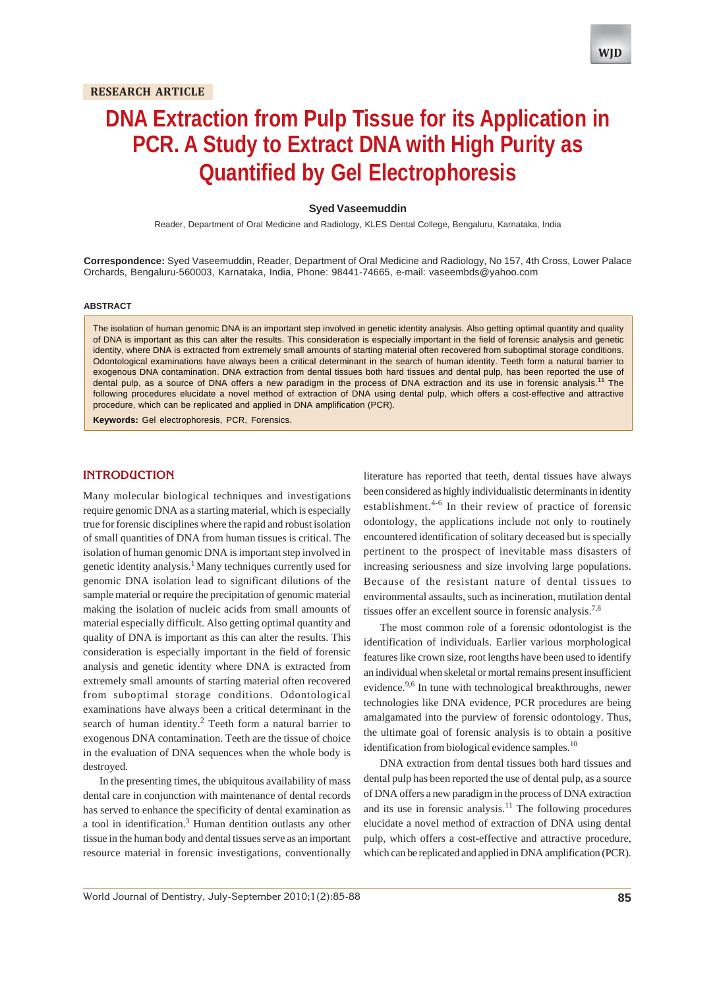# **DNA Extraction from Pulp Tissue for its Application in PCR. A Study to Extract DNA with High Purity as Quantified by Gel Electrophoresis**

## **Syed Vaseemuddin**

Reader, Department of Oral Medicine and Radiology, KLES Dental College, Bengaluru, Karnataka, India

**Correspondence:** Syed Vaseemuddin, Reader, Department of Oral Medicine and Radiology, No 157, 4th Cross, Lower Palace Orchards, Bengaluru-560003, Karnataka, India, Phone: 98441-74665, e-mail: vaseembds@yahoo.com

#### **ABSTRACT**

The isolation of human genomic DNA is an important step involved in genetic identity analysis. Also getting optimal quantity and quality of DNA is important as this can alter the results. This consideration is especially important in the field of forensic analysis and genetic identity, where DNA is extracted from extremely small amounts of starting material often recovered from suboptimal storage conditions. Odontological examinations have always been a critical determinant in the search of human identity. Teeth form a natural barrier to exogenous DNA contamination. DNA extraction from dental tissues both hard tissues and dental pulp, has been reported the use of dental pulp, as a source of DNA offers a new paradigm in the process of DNA extraction and its use in forensic analysis.<sup>11</sup> The following procedures elucidate a novel method of extraction of DNA using dental pulp, which offers a cost-effective and attractive procedure, which can be replicated and applied in DNA amplification (PCR).

**Keywords:** Gel electrophoresis, PCR, Forensics.

# **INTRODUCTION**

Many molecular biological techniques and investigations require genomic DNA as a starting material, which is especially true for forensic disciplines where the rapid and robust isolation of small quantities of DNA from human tissues is critical. The isolation of human genomic DNA is important step involved in genetic identity analysis.<sup>1</sup> Many techniques currently used for genomic DNA isolation lead to significant dilutions of the sample material or require the precipitation of genomic material making the isolation of nucleic acids from small amounts of material especially difficult. Also getting optimal quantity and quality of DNA is important as this can alter the results. This consideration is especially important in the field of forensic analysis and genetic identity where DNA is extracted from extremely small amounts of starting material often recovered from suboptimal storage conditions. Odontological examinations have always been a critical determinant in the search of human identity.<sup>2</sup> Teeth form a natural barrier to exogenous DNA contamination. Teeth are the tissue of choice in the evaluation of DNA sequences when the whole body is destroyed.

In the presenting times, the ubiquitous availability of mass dental care in conjunction with maintenance of dental records has served to enhance the specificity of dental examination as a tool in identification.<sup>3</sup> Human dentition outlasts any other tissue in the human body and dental tissues serve as an important resource material in forensic investigations, conventionally

literature has reported that teeth, dental tissues have always been considered as highly individualistic determinants in identity establishment.<sup>4-6</sup> In their review of practice of forensic odontology, the applications include not only to routinely encountered identification of solitary deceased but is specially pertinent to the prospect of inevitable mass disasters of increasing seriousness and size involving large populations. Because of the resistant nature of dental tissues to environmental assaults, such as incineration, mutilation dental tissues offer an excellent source in forensic analysis.<sup>7,8</sup>

The most common role of a forensic odontologist is the identification of individuals. Earlier various morphological features like crown size, root lengths have been used to identify an individual when skeletal or mortal remains present insufficient evidence.<sup>9,6</sup> In tune with technological breakthroughs, newer technologies like DNA evidence, PCR procedures are being amalgamated into the purview of forensic odontology. Thus, the ultimate goal of forensic analysis is to obtain a positive identification from biological evidence samples. $^{10}$ 

DNA extraction from dental tissues both hard tissues and dental pulp has been reported the use of dental pulp, as a source of DNA offers a new paradigm in the process of DNA extraction and its use in forensic analysis.<sup>11</sup> The following procedures elucidate a novel method of extraction of DNA using dental pulp, which offers a cost-effective and attractive procedure, which can be replicated and applied in DNA amplification (PCR).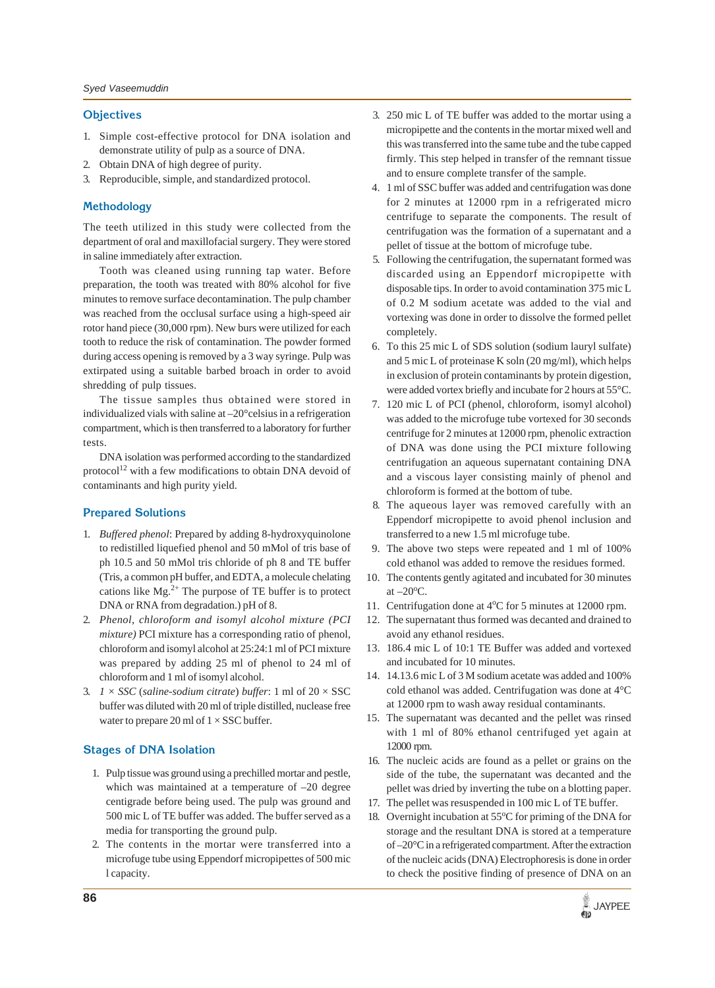## **Objectives**

- 1. Simple cost-effective protocol for DNA isolation and demonstrate utility of pulp as a source of DNA.
- 2. Obtain DNA of high degree of purity.
- 3. Reproducible, simple, and standardized protocol.

## **Methodology**

The teeth utilized in this study were collected from the department of oral and maxillofacial surgery. They were stored in saline immediately after extraction.

Tooth was cleaned using running tap water. Before preparation, the tooth was treated with 80% alcohol for five minutes to remove surface decontamination. The pulp chamber was reached from the occlusal surface using a high-speed air rotor hand piece (30,000 rpm). New burs were utilized for each tooth to reduce the risk of contamination. The powder formed during access opening is removed by a 3 way syringe. Pulp was extirpated using a suitable barbed broach in order to avoid shredding of pulp tissues.

The tissue samples thus obtained were stored in individualized vials with saline at –20°celsius in a refrigeration compartment, which is then transferred to a laboratory for further tests.

DNA isolation was performed according to the standardized protocol<sup>12</sup> with a few modifications to obtain DNA devoid of contaminants and high purity yield.

### **Prepared Solutions**

- 1. *Buffered phenol*: Prepared by adding 8-hydroxyquinolone to redistilled liquefied phenol and 50 mMol of tris base of ph 10.5 and 50 mMol tris chloride of ph 8 and TE buffer (Tris, a common pH buffer, and EDTA, a molecule chelating cations like  $Mg^{2+}$  The purpose of TE buffer is to protect DNA or RNA from degradation.) pH of 8.
- 2. *Phenol*, *chloroform and isomyl alcohol mixture (PCI mixture)* PCI mixture has a corresponding ratio of phenol, chloroform and isomyl alcohol at 25:24:1 ml of PCI mixture was prepared by adding 25 ml of phenol to 24 ml of chloroform and 1 ml of isomyl alcohol.
- 3.  $1 \times SSC$  (*saline-sodium citrate*) *buffer*: 1 ml of  $20 \times SSC$ buffer was diluted with 20 ml of triple distilled, nuclease free water to prepare 20 ml of  $1 \times SSC$  buffer.

# **Stages of DNA Isolation**

- 1. Pulp tissue was ground using a prechilled mortar and pestle, which was maintained at a temperature of –20 degree centigrade before being used. The pulp was ground and 500 mic L of TE buffer was added. The buffer served as a media for transporting the ground pulp.
- 2. The contents in the mortar were transferred into a microfuge tube using Eppendorf micropipettes of 500 mic l capacity.
- 3. 250 mic L of TE buffer was added to the mortar using a micropipette and the contents in the mortar mixed well and this was transferred into the same tube and the tube capped firmly. This step helped in transfer of the remnant tissue and to ensure complete transfer of the sample.
- 4. 1 ml of SSC buffer was added and centrifugation was done for 2 minutes at 12000 rpm in a refrigerated micro centrifuge to separate the components. The result of centrifugation was the formation of a supernatant and a pellet of tissue at the bottom of microfuge tube.
- 5. Following the centrifugation, the supernatant formed was discarded using an Eppendorf micropipette with disposable tips. In order to avoid contamination 375 mic L of 0.2 M sodium acetate was added to the vial and vortexing was done in order to dissolve the formed pellet completely.
- 6. To this 25 mic L of SDS solution (sodium lauryl sulfate) and 5 mic L of proteinase K soln (20 mg/ml), which helps in exclusion of protein contaminants by protein digestion, were added vortex briefly and incubate for 2 hours at 55°C.
- 7. 120 mic L of PCI (phenol, chloroform, isomyl alcohol) was added to the microfuge tube vortexed for 30 seconds centrifuge for 2 minutes at 12000 rpm, phenolic extraction of DNA was done using the PCI mixture following centrifugation an aqueous supernatant containing DNA and a viscous layer consisting mainly of phenol and chloroform is formed at the bottom of tube.
- 8. The aqueous layer was removed carefully with an Eppendorf micropipette to avoid phenol inclusion and transferred to a new 1.5 ml microfuge tube.
- 9. The above two steps were repeated and 1 ml of 100% cold ethanol was added to remove the residues formed.
- 10. The contents gently agitated and incubated for 30 minutes at  $-20^{\circ}$ C.
- 11. Centrifugation done at 4°C for 5 minutes at 12000 rpm.
- 12. The supernatant thus formed was decanted and drained to avoid any ethanol residues.
- 13. 186.4 mic L of 10:1 TE Buffer was added and vortexed and incubated for 10 minutes.
- 14. 14.13.6 mic L of 3 M sodium acetate was added and 100% cold ethanol was added. Centrifugation was done at 4°C at 12000 rpm to wash away residual contaminants.
- 15. The supernatant was decanted and the pellet was rinsed with 1 ml of 80% ethanol centrifuged yet again at 12000 rpm.
- 16. The nucleic acids are found as a pellet or grains on the side of the tube, the supernatant was decanted and the pellet was dried by inverting the tube on a blotting paper.
- 17. The pellet was resuspended in 100 mic L of TE buffer.
- 18. Overnight incubation at 55°C for priming of the DNA for storage and the resultant DNA is stored at a temperature of –20°C in a refrigerated compartment. After the extraction of the nucleic acids (DNA) Electrophoresis is done in order to check the positive finding of presence of DNA on an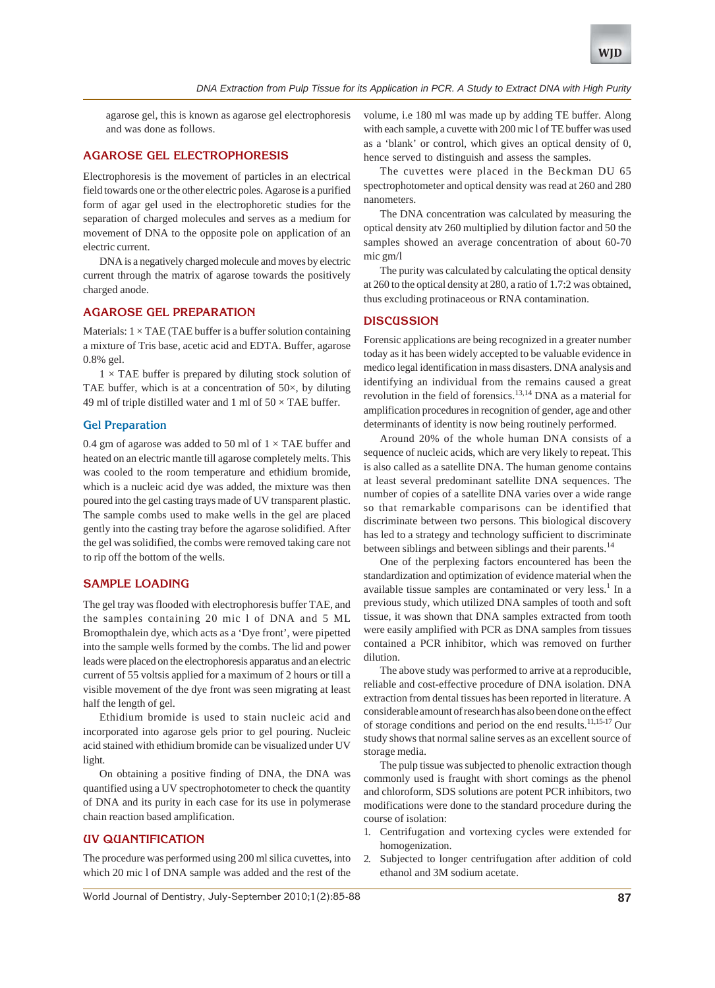agarose gel, this is known as agarose gel electrophoresis and was done as follows.

# **AGAROSE GEL ELECTROPHORESIS**

Electrophoresis is the movement of particles in an electrical field towards one or the other electric poles. Agarose is a purified form of agar gel used in the electrophoretic studies for the separation of charged molecules and serves as a medium for movement of DNA to the opposite pole on application of an electric current.

DNA is a negatively charged molecule and moves by electric current through the matrix of agarose towards the positively charged anode.

# **AGAROSE GEL PREPARATION**

Materials:  $1 \times$  TAE (TAE buffer is a buffer solution containinga mixture of Tris base, acetic acid and EDTA. Buffer, agarose 0.8% gel.

 $1 \times$  TAE buffer is prepared by diluting stock solution of TAE buffer, which is at a concentration of  $50\times$ , by diluting 49 ml of triple distilled water and 1 ml of  $50 \times$  TAE buffer.

### **Gel Preparation**

0.4 gm of agarose was added to 50 ml of  $1 \times$  TAE buffer and heated on an electric mantle till agarose completely melts. This was cooled to the room temperature and ethidium bromide, which is a nucleic acid dye was added, the mixture was then poured into the gel casting trays made of UV transparent plastic. The sample combs used to make wells in the gel are placed gently into the casting tray before the agarose solidified. After the gel was solidified, the combs were removed taking care not to rip off the bottom of the wells.

## **SAMPLE LOADING**

The gel tray was flooded with electrophoresis buffer TAE, and the samples containing 20 mic l of DNA and 5 ML Bromopthalein dye, which acts as a 'Dye front', were pipetted into the sample wells formed by the combs. The lid and power leads were placed on the electrophoresis apparatus and an electric current of 55 voltsis applied for a maximum of 2 hours or till a visible movement of the dye front was seen migrating at least half the length of gel.

Ethidium bromide is used to stain nucleic acid and incorporated into agarose gels prior to gel pouring. Nucleic acid stained with ethidium bromide can be visualized under UV light.

On obtaining a positive finding of DNA, the DNA was quantified using a UV spectrophotometer to check the quantity of DNA and its purity in each case for its use in polymerase chain reaction based amplification.

# **UV QUANTIFICATION**

The procedure was performed using 200 ml silica cuvettes, into which 20 mic l of DNA sample was added and the rest of the

volume, i.e 180 ml was made up by adding TE buffer. Along with each sample, a cuvette with 200 mic l of TE buffer was used as a 'blank' or control, which gives an optical density of 0, hence served to distinguish and assess the samples.

The cuvettes were placed in the Beckman DU 65 spectrophotometer and optical density was read at 260 and 280 nanometers.

The DNA concentration was calculated by measuring the optical density atv 260 multiplied by dilution factor and 50 the samples showed an average concentration of about 60-70 mic gm/l

The purity was calculated by calculating the optical density at 260 to the optical density at 280, a ratio of 1.7:2 was obtained, thus excluding protinaceous or RNA contamination.

# **DISCUSSION**

Forensic applications are being recognized in a greater number today as it has been widely accepted to be valuable evidence in medico legal identification in mass disasters. DNA analysis and identifying an individual from the remains caused a great revolution in the field of forensics.13,14 DNA as a material for amplification procedures in recognition of gender, age and other determinants of identity is now being routinely performed.

Around 20% of the whole human DNA consists of a sequence of nucleic acids, which are very likely to repeat. This is also called as a satellite DNA. The human genome contains at least several predominant satellite DNA sequences. The number of copies of a satellite DNA varies over a wide range so that remarkable comparisons can be identified that discriminate between two persons. This biological discovery has led to a strategy and technology sufficient to discriminate between siblings and between siblings and their parents.<sup>14</sup>

One of the perplexing factors encountered has been the standardization and optimization of evidence material when the available tissue samples are contaminated or very less.<sup>1</sup> In a previous study, which utilized DNA samples of tooth and soft tissue, it was shown that DNA samples extracted from tooth were easily amplified with PCR as DNA samples from tissues contained a PCR inhibitor, which was removed on further dilution.

The above study was performed to arrive at a reproducible, reliable and cost-effective procedure of DNA isolation. DNA extraction from dental tissues has been reported in literature. A considerable amount of research has also been done on the effect of storage conditions and period on the end results.11,15-17 Our study shows that normal saline serves as an excellent source of storage media.

The pulp tissue was subjected to phenolic extraction though commonly used is fraught with short comings as the phenol and chloroform, SDS solutions are potent PCR inhibitors, two modifications were done to the standard procedure during the course of isolation:

- 1. Centrifugation and vortexing cycles were extended for homogenization.
- 2. Subjected to longer centrifugation after addition of cold ethanol and 3M sodium acetate.